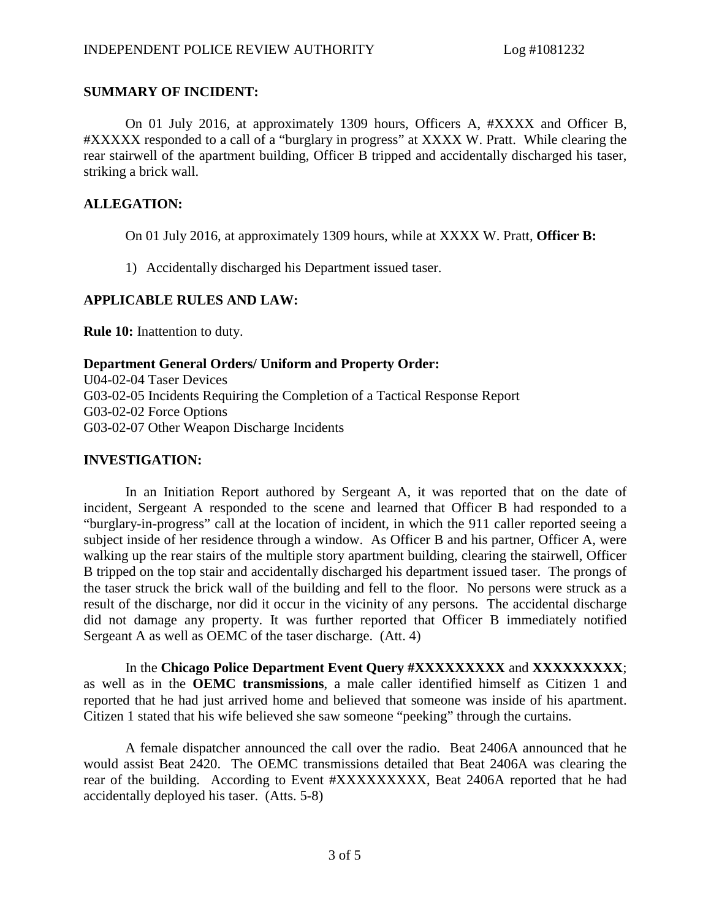### **SUMMARY OF INCIDENT:**

On 01 July 2016, at approximately 1309 hours, Officers A, #XXXX and Officer B, #XXXXX responded to a call of a "burglary in progress" at XXXX W. Pratt. While clearing the rear stairwell of the apartment building, Officer B tripped and accidentally discharged his taser, striking a brick wall.

# **ALLEGATION:**

On 01 July 2016, at approximately 1309 hours, while at XXXX W. Pratt, **Officer B:**

1) Accidentally discharged his Department issued taser.

# **APPLICABLE RULES AND LAW:**

**Rule 10:** Inattention to duty.

### **Department General Orders/ Uniform and Property Order:**

U04-02-04 Taser Devices G03-02-05 Incidents Requiring the Completion of a Tactical Response Report G03-02-02 Force Options G03-02-07 Other Weapon Discharge Incidents

### **INVESTIGATION:**

In an Initiation Report authored by Sergeant A, it was reported that on the date of incident, Sergeant A responded to the scene and learned that Officer B had responded to a "burglary-in-progress" call at the location of incident, in which the 911 caller reported seeing a subject inside of her residence through a window. As Officer B and his partner, Officer A, were walking up the rear stairs of the multiple story apartment building, clearing the stairwell, Officer B tripped on the top stair and accidentally discharged his department issued taser. The prongs of the taser struck the brick wall of the building and fell to the floor. No persons were struck as a result of the discharge, nor did it occur in the vicinity of any persons. The accidental discharge did not damage any property. It was further reported that Officer B immediately notified Sergeant A as well as OEMC of the taser discharge. (Att. 4)

In the **Chicago Police Department Event Query #XXXXXXXXX** and **XXXXXXXXX**; as well as in the **OEMC transmissions**, a male caller identified himself as Citizen 1 and reported that he had just arrived home and believed that someone was inside of his apartment. Citizen 1 stated that his wife believed she saw someone "peeking" through the curtains.

A female dispatcher announced the call over the radio. Beat 2406A announced that he would assist Beat 2420. The OEMC transmissions detailed that Beat 2406A was clearing the rear of the building. According to Event #XXXXXXXXX, Beat 2406A reported that he had accidentally deployed his taser. (Atts. 5-8)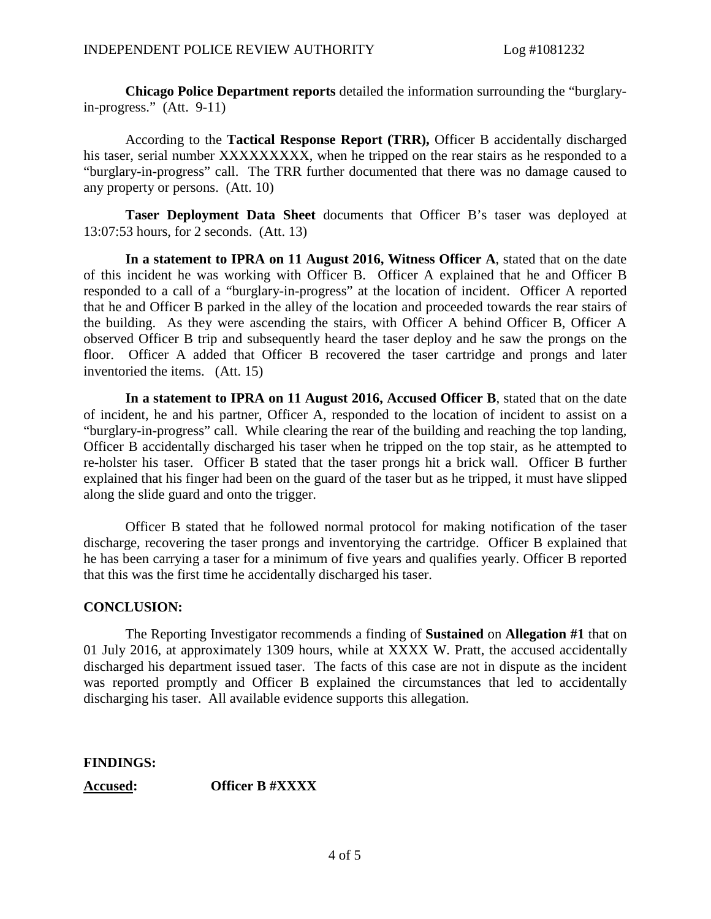**Chicago Police Department reports** detailed the information surrounding the "burglaryin-progress." (Att. 9-11)

According to the **Tactical Response Report (TRR),** Officer B accidentally discharged his taser, serial number XXXXXXXXX, when he tripped on the rear stairs as he responded to a "burglary-in-progress" call. The TRR further documented that there was no damage caused to any property or persons. (Att. 10)

**Taser Deployment Data Sheet** documents that Officer B's taser was deployed at 13:07:53 hours, for 2 seconds. (Att. 13)

**In a statement to IPRA on 11 August 2016, Witness Officer A**, stated that on the date of this incident he was working with Officer B. Officer A explained that he and Officer B responded to a call of a "burglary-in-progress" at the location of incident. Officer A reported that he and Officer B parked in the alley of the location and proceeded towards the rear stairs of the building. As they were ascending the stairs, with Officer A behind Officer B, Officer A observed Officer B trip and subsequently heard the taser deploy and he saw the prongs on the floor. Officer A added that Officer B recovered the taser cartridge and prongs and later inventoried the items. (Att. 15)

**In a statement to IPRA on 11 August 2016, Accused Officer B**, stated that on the date of incident, he and his partner, Officer A, responded to the location of incident to assist on a "burglary-in-progress" call. While clearing the rear of the building and reaching the top landing, Officer B accidentally discharged his taser when he tripped on the top stair, as he attempted to re-holster his taser. Officer B stated that the taser prongs hit a brick wall. Officer B further explained that his finger had been on the guard of the taser but as he tripped, it must have slipped along the slide guard and onto the trigger.

Officer B stated that he followed normal protocol for making notification of the taser discharge, recovering the taser prongs and inventorying the cartridge. Officer B explained that he has been carrying a taser for a minimum of five years and qualifies yearly. Officer B reported that this was the first time he accidentally discharged his taser.

### **CONCLUSION:**

The Reporting Investigator recommends a finding of **Sustained** on **Allegation #1** that on 01 July 2016, at approximately 1309 hours, while at XXXX W. Pratt, the accused accidentally discharged his department issued taser. The facts of this case are not in dispute as the incident was reported promptly and Officer B explained the circumstances that led to accidentally discharging his taser. All available evidence supports this allegation.

### **FINDINGS:**

**Accused: Officer B #XXXX**